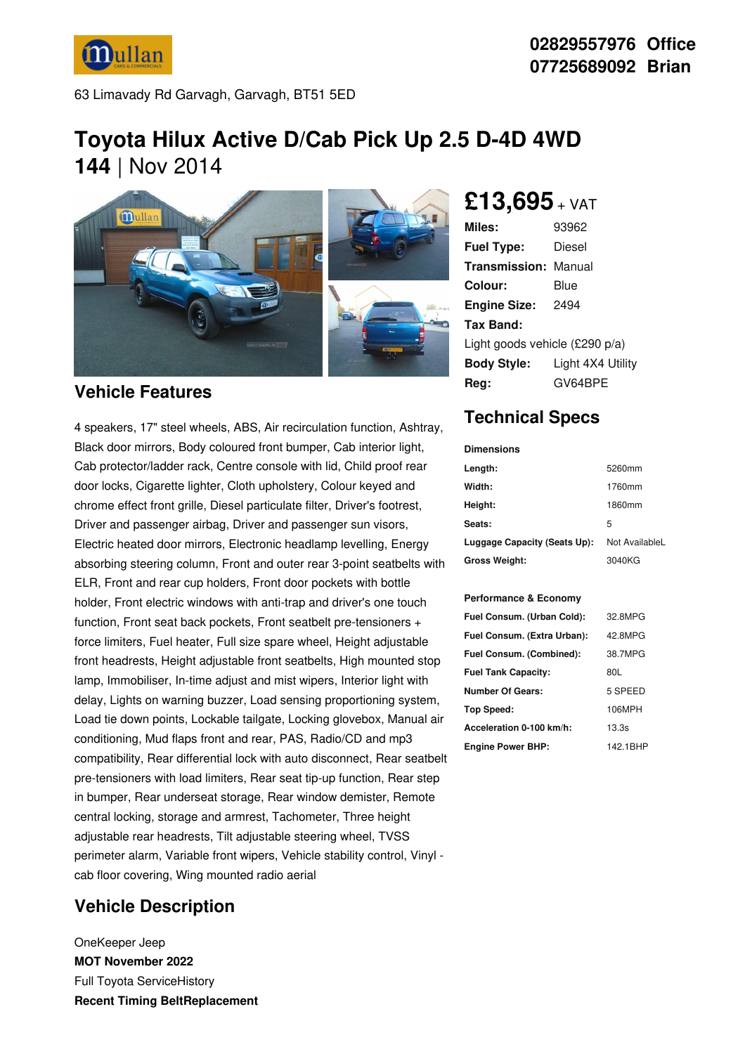**Mullan** 

63 Limavady Rd Garvagh, Garvagh, BT51 5ED

# **Toyota Hilux Active D/Cab Pick Up 2.5 D-4D 4WD 144** | Nov 2014



### **Vehicle Features**

4 speakers, 17" steel wheels, ABS, Air recirculation function, Ashtray, Black door mirrors, Body coloured front bumper, Cab interior light, Cab protector/ladder rack, Centre console with lid, Child proof rear door locks, Cigarette lighter, Cloth upholstery, Colour keyed and chrome effect front grille, Diesel particulate filter, Driver's footrest, Driver and passenger airbag, Driver and passenger sun visors, Electric heated door mirrors, Electronic headlamp levelling, Energy absorbing steering column, Front and outer rear 3-point seatbelts with ELR, Front and rear cup holders, Front door pockets with bottle holder, Front electric windows with anti-trap and driver's one touch function, Front seat back pockets, Front seatbelt pre-tensioners + force limiters, Fuel heater, Full size spare wheel, Height adjustable front headrests, Height adjustable front seatbelts, High mounted stop lamp, Immobiliser, In-time adjust and mist wipers, Interior light with delay, Lights on warning buzzer, Load sensing proportioning system, Load tie down points, Lockable tailgate, Locking glovebox, Manual air conditioning, Mud flaps front and rear, PAS, Radio/CD and mp3 compatibility, Rear differential lock with auto disconnect, Rear seatbelt pre-tensioners with load limiters, Rear seat tip-up function, Rear step in bumper, Rear underseat storage, Rear window demister, Remote central locking, storage and armrest, Tachometer, Three height adjustable rear headrests, Tilt adjustable steering wheel, TVSS perimeter alarm, Variable front wipers, Vehicle stability control, Vinyl cab floor covering, Wing mounted radio aerial

## **Vehicle Description**

OneKeeper Jeep **MOT November 2022** Full Toyota ServiceHistory **Recent Timing BeltReplacement** **02829557976 Office 07725689092 Brian**

## **£13,695** <sup>+</sup> VAT

| Miles:                         | 93962             |  |
|--------------------------------|-------------------|--|
| <b>Fuel Type:</b>              | Diesel            |  |
| <b>Transmission: Manual</b>    |                   |  |
| Colour:                        | Blue              |  |
| <b>Engine Size:</b>            | 2494              |  |
| Tax Band:                      |                   |  |
| Light goods vehicle (£290 p/a) |                   |  |
| <b>Body Style:</b>             | Light 4X4 Utility |  |
| Reg:                           | GV64BPE           |  |

## **Technical Specs**

| Dimensions                   |                |
|------------------------------|----------------|
| Length:                      | 5260mm         |
| Width:                       | 1760mm         |
| Height:                      | 1860mm         |
| <b>Seats:</b>                | 5              |
| Luggage Capacity (Seats Up): | Not AvailableL |
| Gross Weight:                | 3040KG         |

#### **Performance & Economy**

| 32.8MPG  |
|----------|
| 42.8MPG  |
| 38.7MPG  |
| 80L      |
| 5 SPEED  |
| 106MPH   |
| 13.3s    |
| 142.1BHP |
|          |